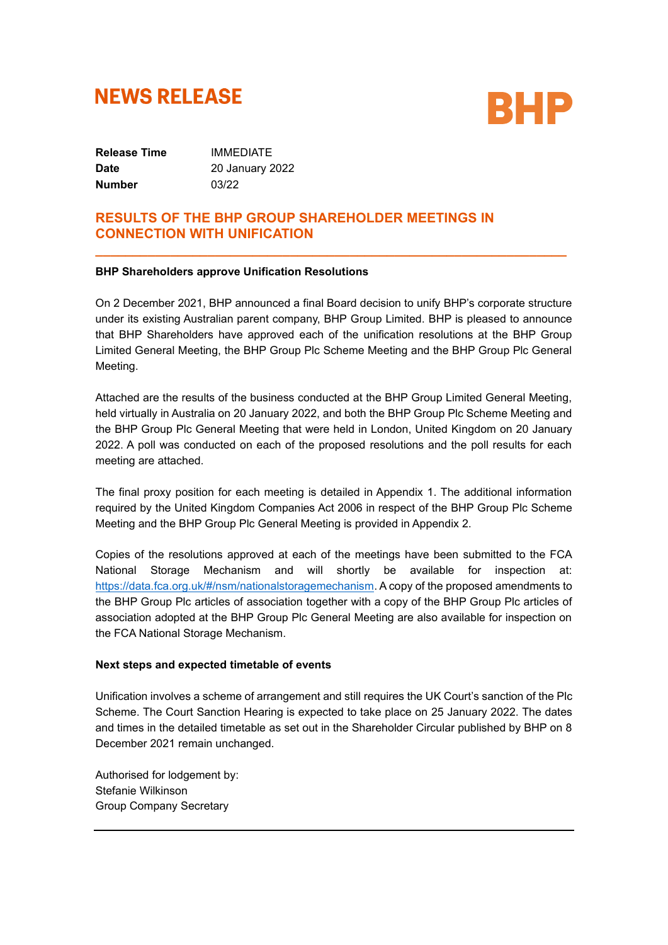# **NEWS RELEASE**



**Release Time** IMMEDIATE **Date** 20 January 2022 **Number** 03/22

## **RESULTS OF THE BHP GROUP SHAREHOLDER MEETINGS IN CONNECTION WITH UNIFICATION**

#### **BHP Shareholders approve Unification Resolutions**

On 2 December 2021, BHP announced a final Board decision to unify BHP's corporate structure under its existing Australian parent company, BHP Group Limited. BHP is pleased to announce that BHP Shareholders have approved each of the unification resolutions at the BHP Group Limited General Meeting, the BHP Group Plc Scheme Meeting and the BHP Group Plc General Meeting.

**\_\_\_\_\_\_\_\_\_\_\_\_\_\_\_\_\_\_\_\_\_\_\_\_\_\_\_\_\_\_\_\_\_\_\_\_\_\_\_\_\_\_\_\_\_\_\_\_\_\_\_\_\_\_\_\_\_\_\_\_\_\_\_**

Attached are the results of the business conducted at the BHP Group Limited General Meeting, held virtually in Australia on 20 January 2022, and both the BHP Group Plc Scheme Meeting and the BHP Group Plc General Meeting that were held in London, United Kingdom on 20 January 2022. A poll was conducted on each of the proposed resolutions and the poll results for each meeting are attached.

The final proxy position for each meeting is detailed in Appendix 1. The additional information required by the United Kingdom Companies Act 2006 in respect of the BHP Group Plc Scheme Meeting and the BHP Group Plc General Meeting is provided in Appendix 2.

Copies of the resolutions approved at each of the meetings have been submitted to the FCA National Storage Mechanism and will shortly be available for inspection at: https://data.fca.org.uk/#/nsm/nationalstoragemechanism. A copy of the proposed amendments to the BHP Group Plc articles of association together with a copy of the BHP Group Plc articles of association adopted at the BHP Group Plc General Meeting are also available for inspection on the FCA National Storage Mechanism.

#### **Next steps and expected timetable of events**

Unification involves a scheme of arrangement and still requires the UK Court's sanction of the Plc Scheme. The Court Sanction Hearing is expected to take place on 25 January 2022. The dates and times in the detailed timetable as set out in the Shareholder Circular published by BHP on 8 December 2021 remain unchanged.

Authorised for lodgement by: Stefanie Wilkinson Group Company Secretary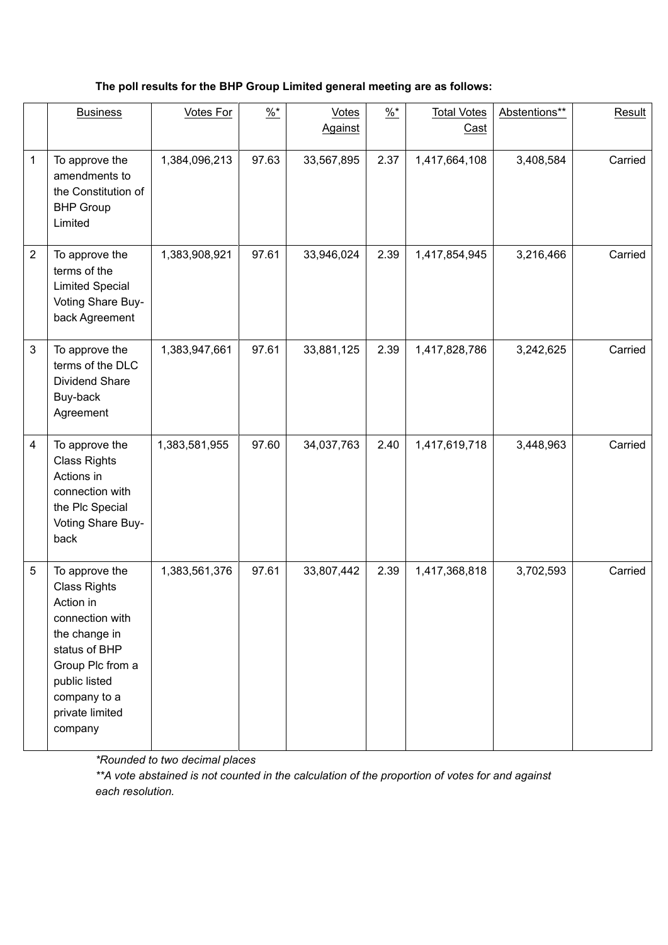## **The poll results for the BHP Group Limited general meeting are as follows:**

|                | <b>Business</b>                                                                                                                                                                            | <b>Votes For</b> | $\frac{9}{6}$ * | <b>Votes</b><br><b>Against</b> | $\frac{9}{6}$ * | <b>Total Votes</b><br>Cast | Abstentions** | Result  |
|----------------|--------------------------------------------------------------------------------------------------------------------------------------------------------------------------------------------|------------------|-----------------|--------------------------------|-----------------|----------------------------|---------------|---------|
| $\mathbf 1$    | To approve the<br>amendments to<br>the Constitution of<br><b>BHP Group</b><br>Limited                                                                                                      | 1,384,096,213    | 97.63           | 33,567,895                     | 2.37            | 1,417,664,108              | 3,408,584     | Carried |
| $\overline{2}$ | To approve the<br>terms of the<br><b>Limited Special</b><br>Voting Share Buy-<br>back Agreement                                                                                            | 1,383,908,921    | 97.61           | 33,946,024                     | 2.39            | 1,417,854,945              | 3,216,466     | Carried |
| $\mathfrak{S}$ | To approve the<br>terms of the DLC<br><b>Dividend Share</b><br>Buy-back<br>Agreement                                                                                                       | 1,383,947,661    | 97.61           | 33,881,125                     | 2.39            | 1,417,828,786              | 3,242,625     | Carried |
| 4              | To approve the<br><b>Class Rights</b><br>Actions in<br>connection with<br>the Plc Special<br>Voting Share Buy-<br>back                                                                     | 1,383,581,955    | 97.60           | 34,037,763                     | 2.40            | 1,417,619,718              | 3,448,963     | Carried |
| 5              | To approve the<br><b>Class Rights</b><br>Action in<br>connection with<br>the change in<br>status of BHP<br>Group Plc from a<br>public listed<br>company to a<br>private limited<br>company | 1,383,561,376    | 97.61           | 33,807,442                     | 2.39            | 1,417,368,818              | 3,702,593     | Carried |

*\*Rounded to two decimal places*

*\*\*A vote abstained is not counted in the calculation of the proportion of votes for and against each resolution.*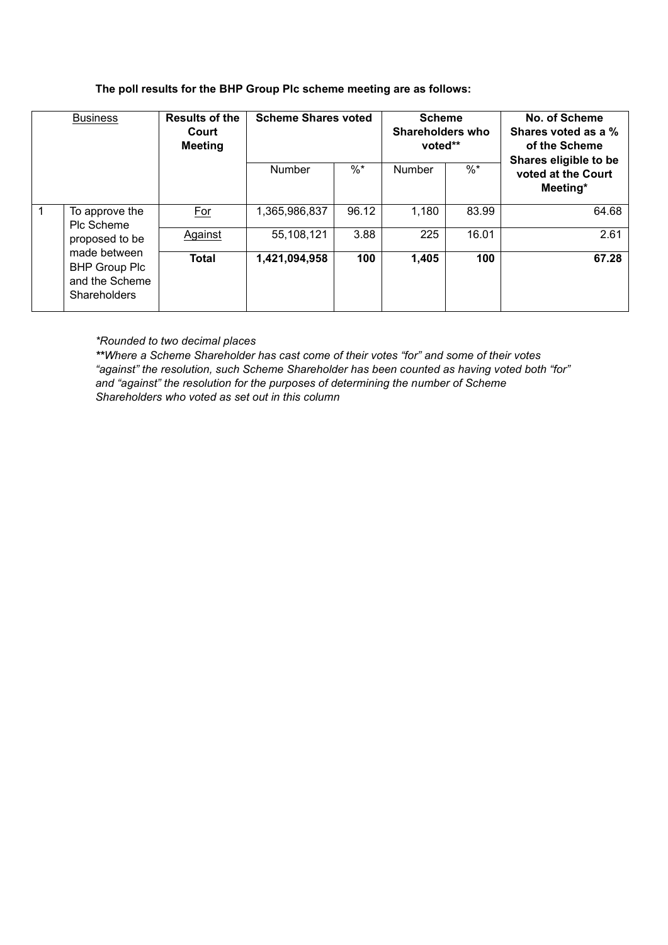#### **The poll results for the BHP Group Plc scheme meeting are as follows:**

|              | <b>Business</b>                                                                                                                 | <b>Results of the</b><br>Court<br><b>Meeting</b> | <b>Scheme Shares voted</b> |        | <b>Scheme</b><br>Shareholders who<br>voted** |        | No. of Scheme<br>Shares voted as a %<br>of the Scheme<br>Shares eligible to be |
|--------------|---------------------------------------------------------------------------------------------------------------------------------|--------------------------------------------------|----------------------------|--------|----------------------------------------------|--------|--------------------------------------------------------------------------------|
|              |                                                                                                                                 |                                                  | Number                     | $\%$ * | Number                                       | $\%$ * | voted at the Court<br>Meeting*                                                 |
| $\mathbf{1}$ | To approve the<br>Plc Scheme<br>proposed to be<br>made between<br><b>BHP Group Plc</b><br>and the Scheme<br><b>Shareholders</b> | <b>For</b>                                       | 1,365,986,837              | 96.12  | 1,180                                        | 83.99  | 64.68                                                                          |
|              |                                                                                                                                 | Against                                          | 55,108,121                 | 3.88   | 225                                          | 16.01  | 2.61                                                                           |
|              |                                                                                                                                 | <b>Total</b>                                     | 1,421,094,958              | 100    | 1,405                                        | 100    | 67.28                                                                          |

*\*Rounded to two decimal places*

*\*\*Where a Scheme Shareholder has cast come of their votes "for" and some of their votes "against" the resolution, such Scheme Shareholder has been counted as having voted both "for" and "against" the resolution for the purposes of determining the number of Scheme Shareholders who voted as set out in this column*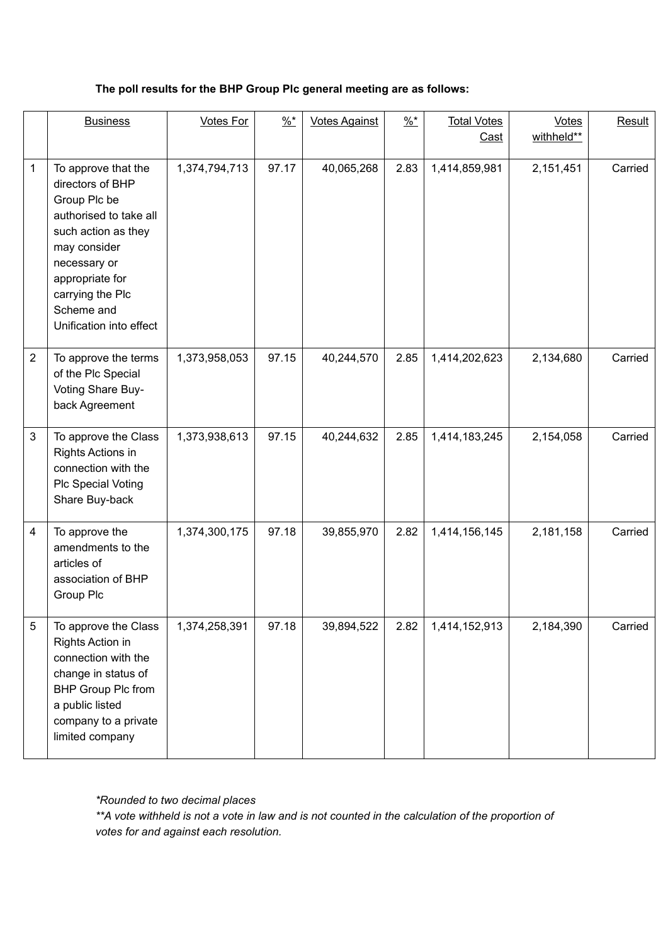## **The poll results for the BHP Group Plc general meeting are as follows:**

|                | <b>Business</b>                                                                                                                                                                                                          | <b>Votes For</b> | $\frac{9}{6}$ * | <b>Votes Against</b> | $\frac{96*}{6}$ | <b>Total Votes</b><br>Cast | <b>Votes</b><br>withheld** | Result  |
|----------------|--------------------------------------------------------------------------------------------------------------------------------------------------------------------------------------------------------------------------|------------------|-----------------|----------------------|-----------------|----------------------------|----------------------------|---------|
| 1              | To approve that the<br>directors of BHP<br>Group Plc be<br>authorised to take all<br>such action as they<br>may consider<br>necessary or<br>appropriate for<br>carrying the Plc<br>Scheme and<br>Unification into effect | 1,374,794,713    | 97.17           | 40,065,268           | 2.83            | 1,414,859,981              | 2,151,451                  | Carried |
| $\overline{2}$ | To approve the terms<br>of the Plc Special<br>Voting Share Buy-<br>back Agreement                                                                                                                                        | 1,373,958,053    | 97.15           | 40,244,570           | 2.85            | 1,414,202,623              | 2,134,680                  | Carried |
| 3              | To approve the Class<br>Rights Actions in<br>connection with the<br><b>Plc Special Voting</b><br>Share Buy-back                                                                                                          | 1,373,938,613    | 97.15           | 40,244,632           | 2.85            | 1,414,183,245              | 2,154,058                  | Carried |
| $\overline{4}$ | To approve the<br>amendments to the<br>articles of<br>association of BHP<br>Group Plc                                                                                                                                    | 1,374,300,175    | 97.18           | 39,855,970           | 2.82            | 1,414,156,145              | 2,181,158                  | Carried |
| 5              | To approve the Class<br>Rights Action in<br>connection with the<br>change in status of<br><b>BHP Group Plc from</b><br>a public listed<br>company to a private<br>limited company                                        | 1,374,258,391    | 97.18           | 39,894,522           | 2.82            | 1,414,152,913              | 2,184,390                  | Carried |

*\*Rounded to two decimal places*

*\*\*A vote withheld is not a vote in law and is not counted in the calculation of the proportion of votes for and against each resolution.*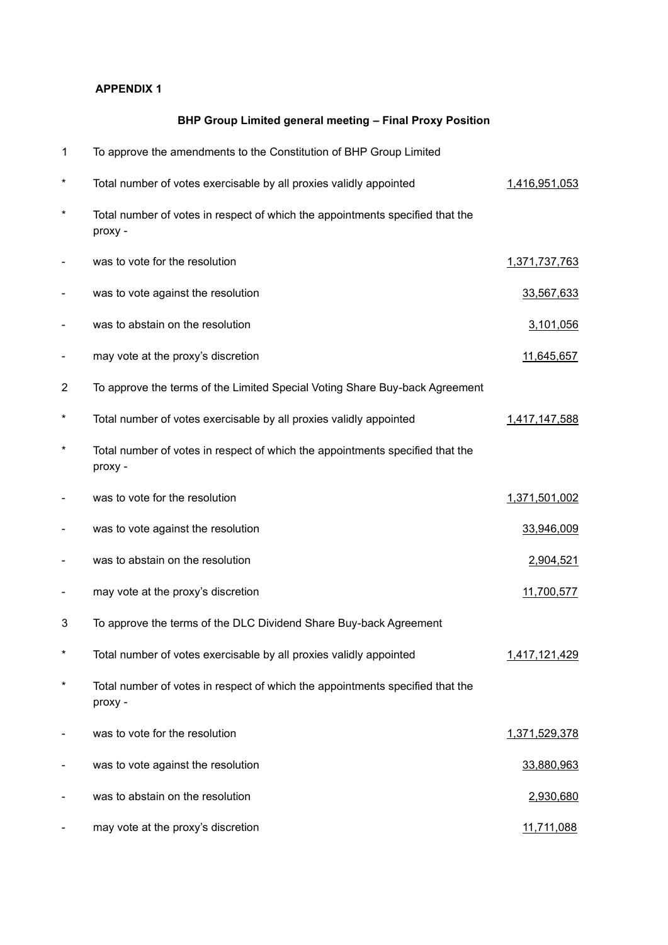## **APPENDIX 1**

## **BHP Group Limited general meeting – Final Proxy Position**

| 1              | To approve the amendments to the Constitution of BHP Group Limited                       |                   |
|----------------|------------------------------------------------------------------------------------------|-------------------|
| $\ast$         | Total number of votes exercisable by all proxies validly appointed                       | 1,416,951,053     |
| $\ast$         | Total number of votes in respect of which the appointments specified that the<br>proxy - |                   |
|                | was to vote for the resolution                                                           | 1,371,737,763     |
|                | was to vote against the resolution                                                       | 33,567,633        |
|                | was to abstain on the resolution                                                         | 3,101,056         |
|                | may vote at the proxy's discretion                                                       | 11,645,657        |
| $\overline{2}$ | To approve the terms of the Limited Special Voting Share Buy-back Agreement              |                   |
| $\ast$         | Total number of votes exercisable by all proxies validly appointed                       | 1,417,147,588     |
| $^\star$       | Total number of votes in respect of which the appointments specified that the<br>proxy - |                   |
|                | was to vote for the resolution                                                           | 1,371,501,002     |
|                | was to vote against the resolution                                                       | 33,946,009        |
|                | was to abstain on the resolution                                                         | 2,904,521         |
|                | may vote at the proxy's discretion                                                       | 11,700,577        |
| 3              | To approve the terms of the DLC Dividend Share Buy-back Agreement                        |                   |
| $^\star$       | Total number of votes exercisable by all proxies validly appointed                       | 1,417,121,429     |
| $^\star$       | Total number of votes in respect of which the appointments specified that the<br>proxy - |                   |
|                | was to vote for the resolution                                                           | 1,371,529,378     |
|                | was to vote against the resolution                                                       | 33,880,963        |
|                | was to abstain on the resolution                                                         | 2,930,680         |
|                | may vote at the proxy's discretion                                                       | <u>11,711,088</u> |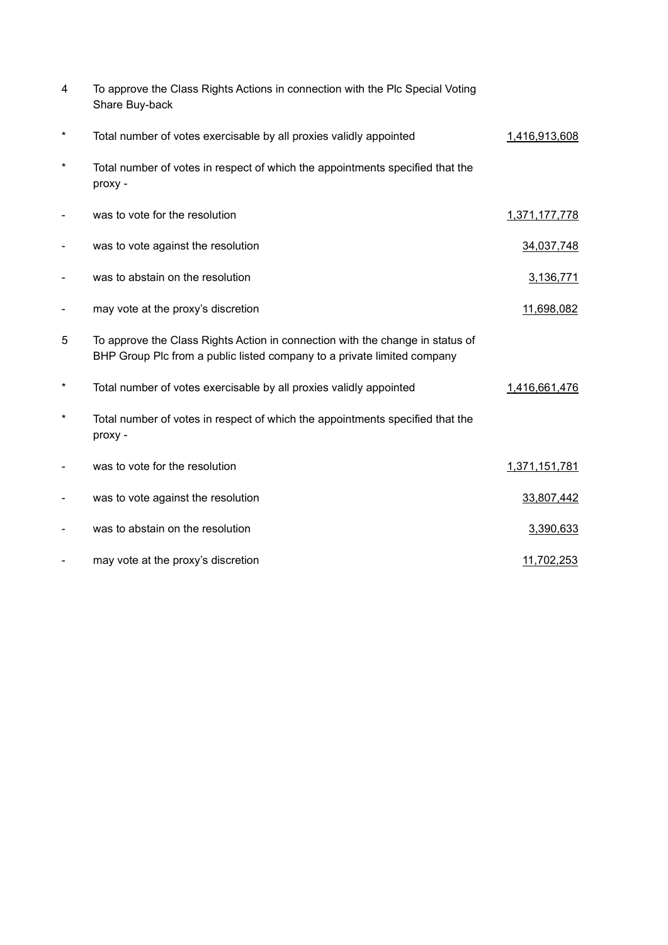| 4          | To approve the Class Rights Actions in connection with the Plc Special Voting<br>Share Buy-back                                                          |               |
|------------|----------------------------------------------------------------------------------------------------------------------------------------------------------|---------------|
| $^\star$   | Total number of votes exercisable by all proxies validly appointed                                                                                       | 1,416,913,608 |
| $^\star$   | Total number of votes in respect of which the appointments specified that the<br>proxy -                                                                 |               |
|            | was to vote for the resolution                                                                                                                           | 1,371,177,778 |
|            | was to vote against the resolution                                                                                                                       | 34,037,748    |
|            | was to abstain on the resolution                                                                                                                         | 3,136,771     |
|            | may vote at the proxy's discretion                                                                                                                       | 11,698,082    |
| 5          | To approve the Class Rights Action in connection with the change in status of<br>BHP Group Plc from a public listed company to a private limited company |               |
| $^{\star}$ | Total number of votes exercisable by all proxies validly appointed                                                                                       | 1,416,661,476 |
| $^\star$   | Total number of votes in respect of which the appointments specified that the<br>proxy -                                                                 |               |
|            | was to vote for the resolution                                                                                                                           | 1,371,151,781 |
| -          | was to vote against the resolution                                                                                                                       | 33,807,442    |
|            | was to abstain on the resolution                                                                                                                         | 3,390,633     |
|            | may vote at the proxy's discretion                                                                                                                       | 11,702,253    |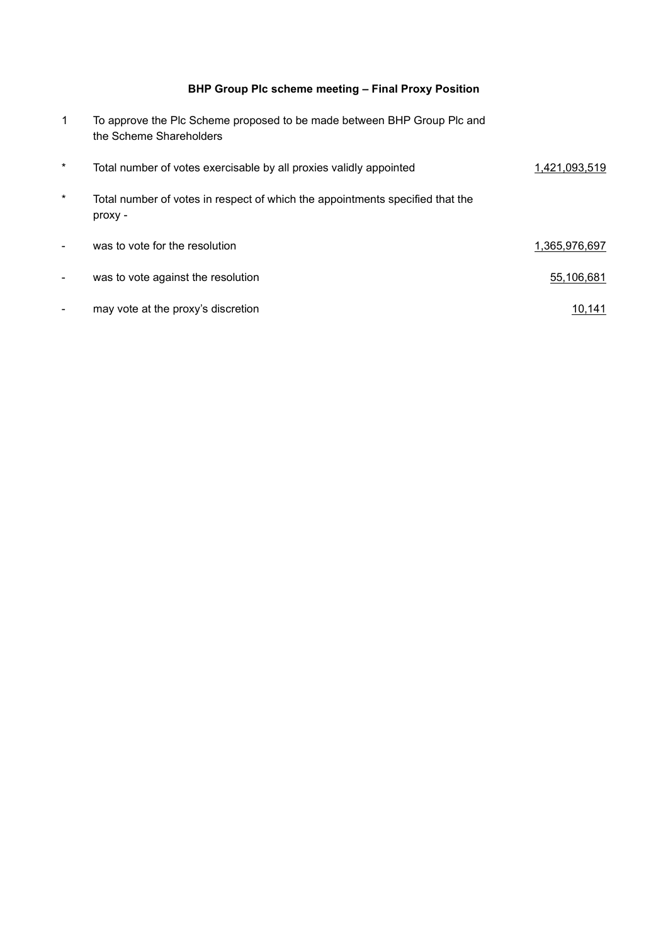## **BHP Group Plc scheme meeting – Final Proxy Position**

| $\mathbf{1}$ | To approve the Plc Scheme proposed to be made between BHP Group Plc and<br>the Scheme Shareholders |               |
|--------------|----------------------------------------------------------------------------------------------------|---------------|
| $\ast$       | Total number of votes exercisable by all proxies validly appointed                                 | 1,421,093,519 |
| $\star$      | Total number of votes in respect of which the appointments specified that the<br>proxy -           |               |
|              | was to vote for the resolution                                                                     | 1,365,976,697 |
|              | was to vote against the resolution                                                                 | 55,106,681    |
|              | may vote at the proxy's discretion                                                                 | 10,141        |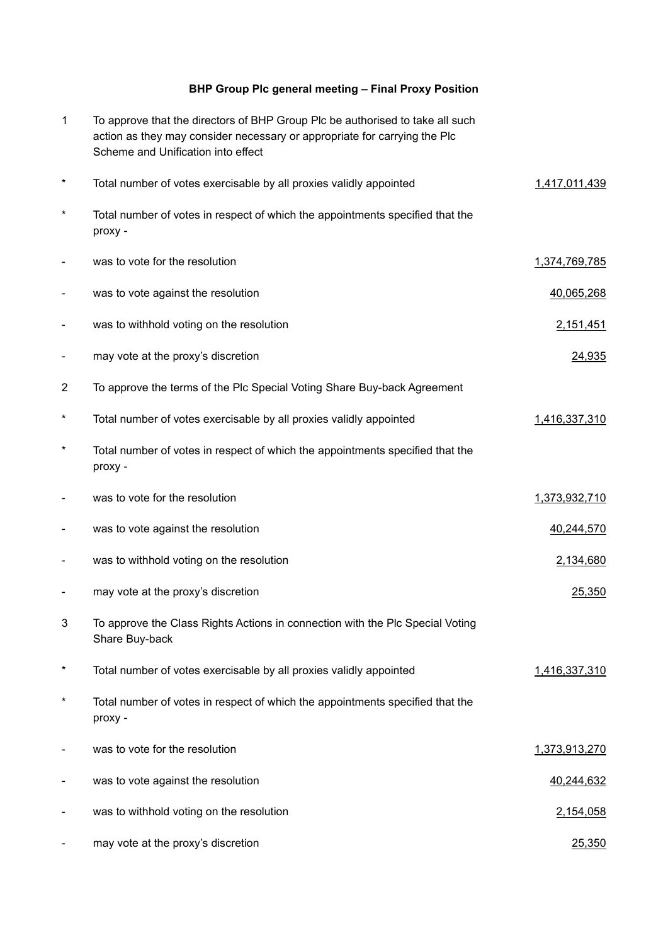## **BHP Group Plc general meeting – Final Proxy Position**

| $\mathbf{1}$ | To approve that the directors of BHP Group Plc be authorised to take all such<br>action as they may consider necessary or appropriate for carrying the Plc<br>Scheme and Unification into effect |               |
|--------------|--------------------------------------------------------------------------------------------------------------------------------------------------------------------------------------------------|---------------|
| $^\star$     | Total number of votes exercisable by all proxies validly appointed                                                                                                                               | 1,417,011,439 |
| $^\star$     | Total number of votes in respect of which the appointments specified that the<br>proxy -                                                                                                         |               |
|              | was to vote for the resolution                                                                                                                                                                   | 1,374,769,785 |
|              | was to vote against the resolution                                                                                                                                                               | 40,065,268    |
|              | was to withhold voting on the resolution                                                                                                                                                         | 2,151,451     |
|              | may vote at the proxy's discretion                                                                                                                                                               | 24,935        |
| 2            | To approve the terms of the Plc Special Voting Share Buy-back Agreement                                                                                                                          |               |
| $^\star$     | Total number of votes exercisable by all proxies validly appointed                                                                                                                               | 1,416,337,310 |
| $\ast$       | Total number of votes in respect of which the appointments specified that the<br>proxy -                                                                                                         |               |
|              | was to vote for the resolution                                                                                                                                                                   | 1,373,932,710 |
|              | was to vote against the resolution                                                                                                                                                               | 40,244,570    |
|              | was to withhold voting on the resolution                                                                                                                                                         | 2,134,680     |
|              | may vote at the proxy's discretion                                                                                                                                                               | 25,350        |
| 3            | To approve the Class Rights Actions in connection with the Plc Special Voting<br>Share Buy-back                                                                                                  |               |
| $\ast$       | Total number of votes exercisable by all proxies validly appointed                                                                                                                               | 1,416,337,310 |
| $^\star$     | Total number of votes in respect of which the appointments specified that the<br>proxy -                                                                                                         |               |
|              | was to vote for the resolution                                                                                                                                                                   | 1,373,913,270 |
|              | was to vote against the resolution                                                                                                                                                               | 40,244,632    |
|              | was to withhold voting on the resolution                                                                                                                                                         | 2,154,058     |
|              | may vote at the proxy's discretion                                                                                                                                                               | 25,350        |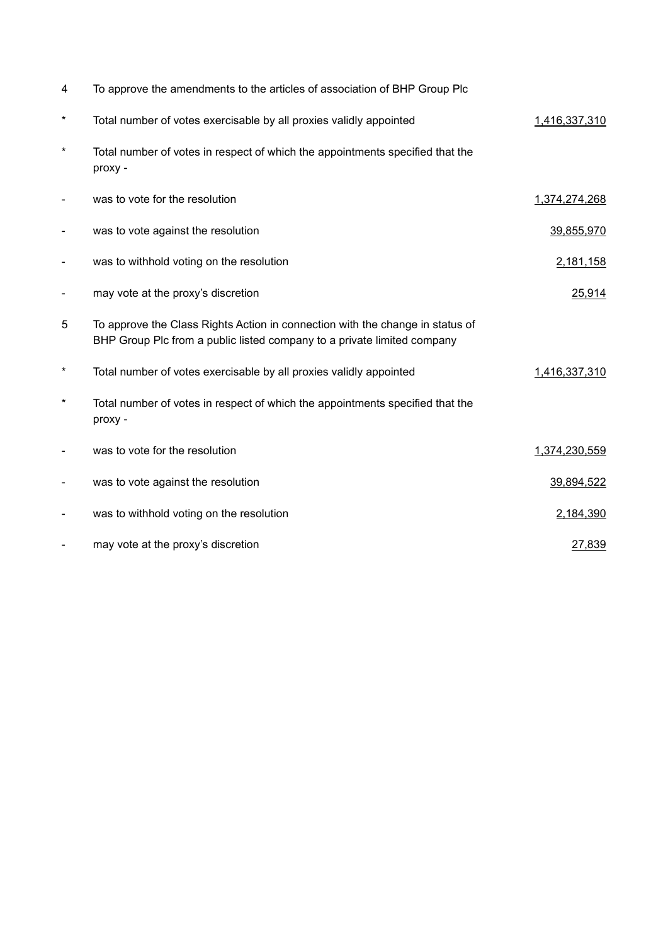| 4        | To approve the amendments to the articles of association of BHP Group Plc                                                                                |               |
|----------|----------------------------------------------------------------------------------------------------------------------------------------------------------|---------------|
| $^\star$ | Total number of votes exercisable by all proxies validly appointed                                                                                       | 1,416,337,310 |
| $^\star$ | Total number of votes in respect of which the appointments specified that the<br>proxy -                                                                 |               |
|          | was to vote for the resolution                                                                                                                           | 1,374,274,268 |
|          | was to vote against the resolution                                                                                                                       | 39,855,970    |
|          | was to withhold voting on the resolution                                                                                                                 | 2,181,158     |
|          | may vote at the proxy's discretion                                                                                                                       | 25,914        |
| 5        | To approve the Class Rights Action in connection with the change in status of<br>BHP Group Plc from a public listed company to a private limited company |               |
| $^\star$ | Total number of votes exercisable by all proxies validly appointed                                                                                       | 1,416,337,310 |
| $^\star$ | Total number of votes in respect of which the appointments specified that the<br>proxy -                                                                 |               |
|          | was to vote for the resolution                                                                                                                           | 1,374,230,559 |
|          | was to vote against the resolution                                                                                                                       | 39,894,522    |
|          | was to withhold voting on the resolution                                                                                                                 | 2,184,390     |
|          | may vote at the proxy's discretion                                                                                                                       | 27,839        |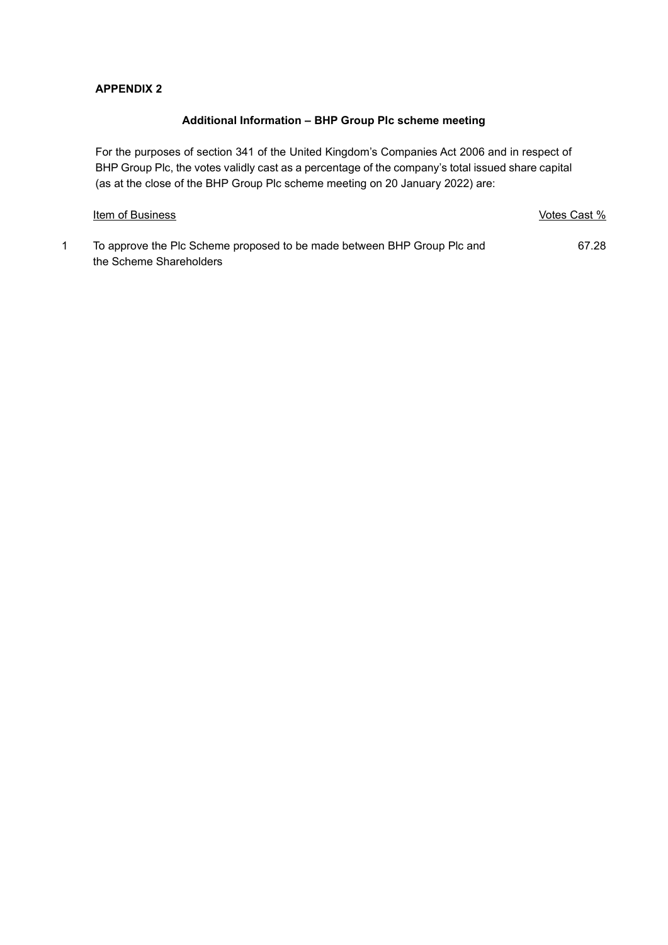#### **APPENDIX 2**

#### **Additional Information – BHP Group Plc scheme meeting**

For the purposes of section 341 of the United Kingdom's Companies Act 2006 and in respect of BHP Group Plc, the votes validly cast as a percentage of the company's total issued share capital (as at the close of the BHP Group Plc scheme meeting on 20 January 2022) are:

| Item of Business                                                        | Votes Cast % |
|-------------------------------------------------------------------------|--------------|
| To approve the PIc Scheme proposed to be made between BHP Group PIc and | 67.28        |
| the Scheme Shareholders                                                 |              |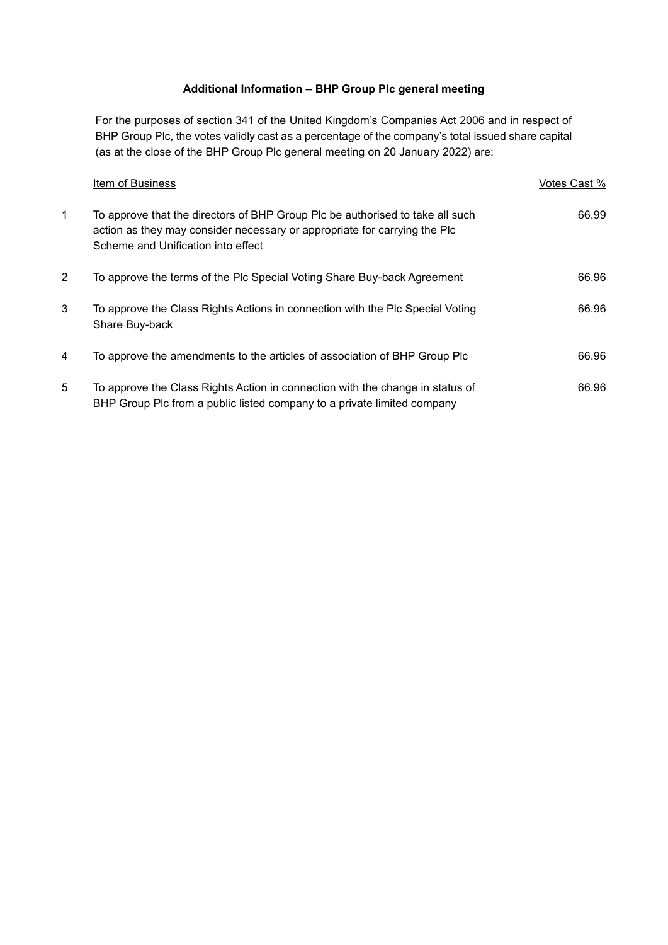## **Additional Information – BHP Group Plc general meeting**

For the purposes of section 341 of the United Kingdom's Companies Act 2006 and in respect of BHP Group Plc, the votes validly cast as a percentage of the company's total issued share capital (as at the close of the BHP Group Plc general meeting on 20 January 2022) are:

|              | Item of Business                                                                                                                                                                                 | Votes Cast % |
|--------------|--------------------------------------------------------------------------------------------------------------------------------------------------------------------------------------------------|--------------|
| $\mathbf{1}$ | To approve that the directors of BHP Group Plc be authorised to take all such<br>action as they may consider necessary or appropriate for carrying the Plc<br>Scheme and Unification into effect | 66.99        |
| 2            | To approve the terms of the Plc Special Voting Share Buy-back Agreement                                                                                                                          | 66.96        |
| 3            | To approve the Class Rights Actions in connection with the Plc Special Voting<br>Share Buy-back                                                                                                  | 66.96        |
| 4            | To approve the amendments to the articles of association of BHP Group Plc                                                                                                                        | 66.96        |
| 5            | To approve the Class Rights Action in connection with the change in status of<br>BHP Group Plc from a public listed company to a private limited company                                         | 66.96        |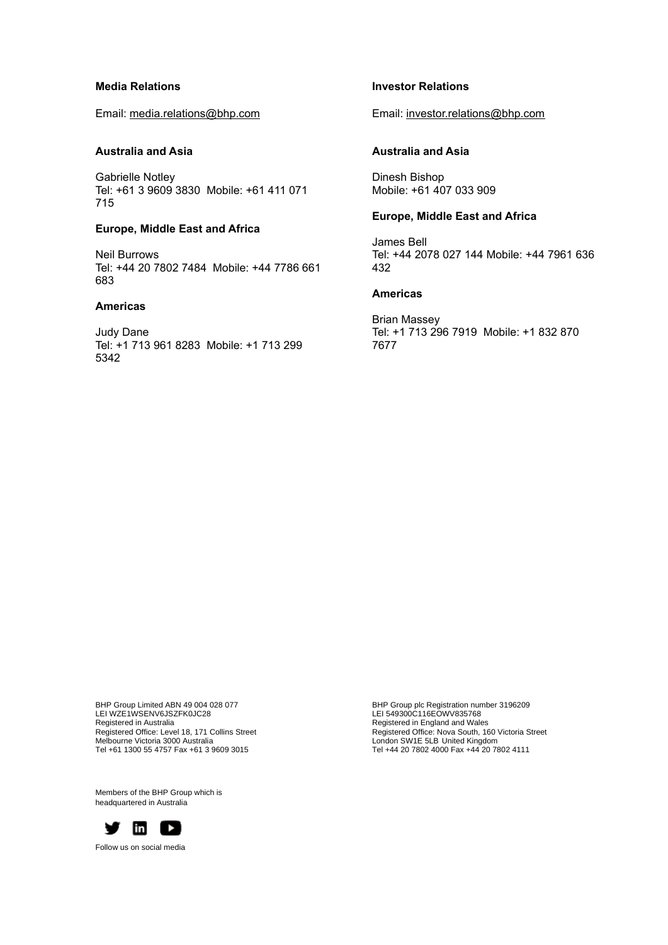#### **Media Relations**

Email: media.relations@bhp.com

#### **Australia and Asia**

Gabrielle Notley Tel: +61 3 9609 3830 Mobile: +61 411 071 715

#### **Europe, Middle East and Africa**

Neil Burrows Tel: +44 20 7802 7484 Mobile: +44 7786 661 683

#### **Americas**

Judy Dane Tel: +1 713 961 8283 Mobile: +1 713 299 5342

#### **Investor Relations**

Email: investor.relations@bhp.com

#### **Australia and Asia**

Dinesh Bishop Mobile: +61 407 033 909

#### **Europe, Middle East and Africa**

James Bell Tel: +44 2078 027 144 Mobile: +44 7961 636 432

#### **Americas**

Brian Massey Tel: +1 713 296 7919 Mobile: +1 832 870 7677

BHP Group Limited ABN 49 004 028 077 LEI WZE1WSENV6JSZFK0JC28 Registered in Australia Registered Office: Level 18, 171 Collins Street Melbourne Victoria 3000 Australia Tel +61 1300 55 4757 Fax +61 3 9609 3015

BHP Group plc Registration number 3196209 LEI 549300C116EOWV835768 Registered in England and Wales Registered Office: Nova South, 160 Victoria Street London SW1E 5LB United Kingdom Tel +44 20 7802 4000 Fax +44 20 7802 4111

Members of the BHP Group which is headquartered in Australia



Follow us on social media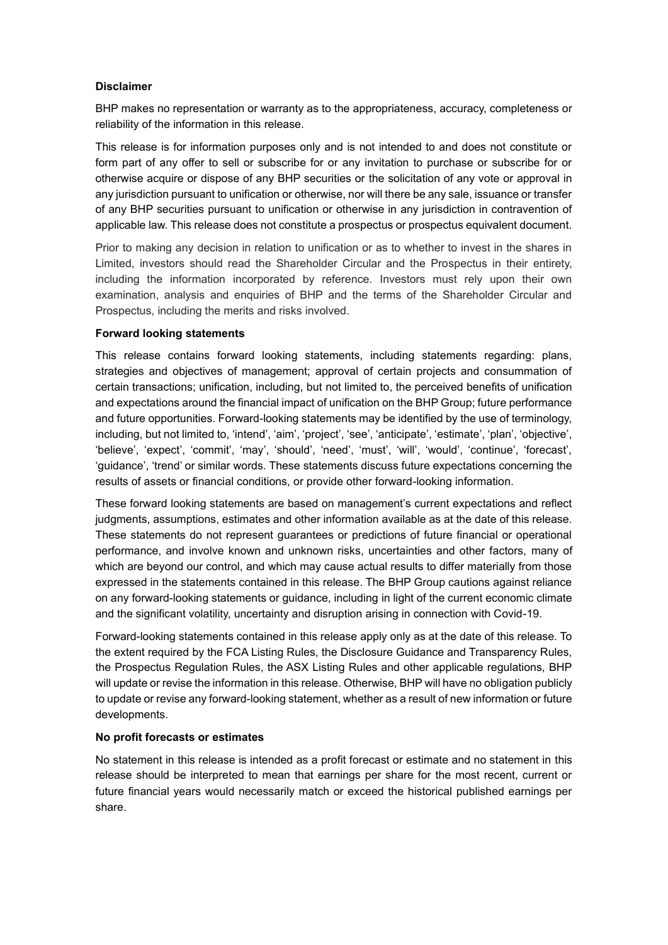#### **Disclaimer**

BHP makes no representation or warranty as to the appropriateness, accuracy, completeness or reliability of the information in this release.

This release is for information purposes only and is not intended to and does not constitute or form part of any offer to sell or subscribe for or any invitation to purchase or subscribe for or otherwise acquire or dispose of any BHP securities or the solicitation of any vote or approval in any jurisdiction pursuant to unification or otherwise, nor will there be any sale, issuance or transfer of any BHP securities pursuant to unification or otherwise in any jurisdiction in contravention of applicable law. This release does not constitute a prospectus or prospectus equivalent document.

Prior to making any decision in relation to unification or as to whether to invest in the shares in Limited, investors should read the Shareholder Circular and the Prospectus in their entirety, including the information incorporated by reference. Investors must rely upon their own examination, analysis and enquiries of BHP and the terms of the Shareholder Circular and Prospectus, including the merits and risks involved.

#### **Forward looking statements**

This release contains forward looking statements, including statements regarding: plans, strategies and objectives of management; approval of certain projects and consummation of certain transactions; unification, including, but not limited to, the perceived benefits of unification and expectations around the financial impact of unification on the BHP Group; future performance and future opportunities. Forward-looking statements may be identified by the use of terminology, including, but not limited to, 'intend', 'aim', 'project', 'see', 'anticipate', 'estimate', 'plan', 'objective', 'believe', 'expect', 'commit', 'may', 'should', 'need', 'must', 'will', 'would', 'continue', 'forecast', 'guidance', 'trend' or similar words. These statements discuss future expectations concerning the results of assets or financial conditions, or provide other forward-looking information.

These forward looking statements are based on management's current expectations and reflect judgments, assumptions, estimates and other information available as at the date of this release. These statements do not represent guarantees or predictions of future financial or operational performance, and involve known and unknown risks, uncertainties and other factors, many of which are beyond our control, and which may cause actual results to differ materially from those expressed in the statements contained in this release. The BHP Group cautions against reliance on any forward-looking statements or guidance, including in light of the current economic climate and the significant volatility, uncertainty and disruption arising in connection with Covid-19.

Forward-looking statements contained in this release apply only as at the date of this release. To the extent required by the FCA Listing Rules, the Disclosure Guidance and Transparency Rules, the Prospectus Regulation Rules, the ASX Listing Rules and other applicable regulations, BHP will update or revise the information in this release. Otherwise, BHP will have no obligation publicly to update or revise any forward-looking statement, whether as a result of new information or future developments.

#### **No profit forecasts or estimates**

No statement in this release is intended as a profit forecast or estimate and no statement in this release should be interpreted to mean that earnings per share for the most recent, current or future financial years would necessarily match or exceed the historical published earnings per share.